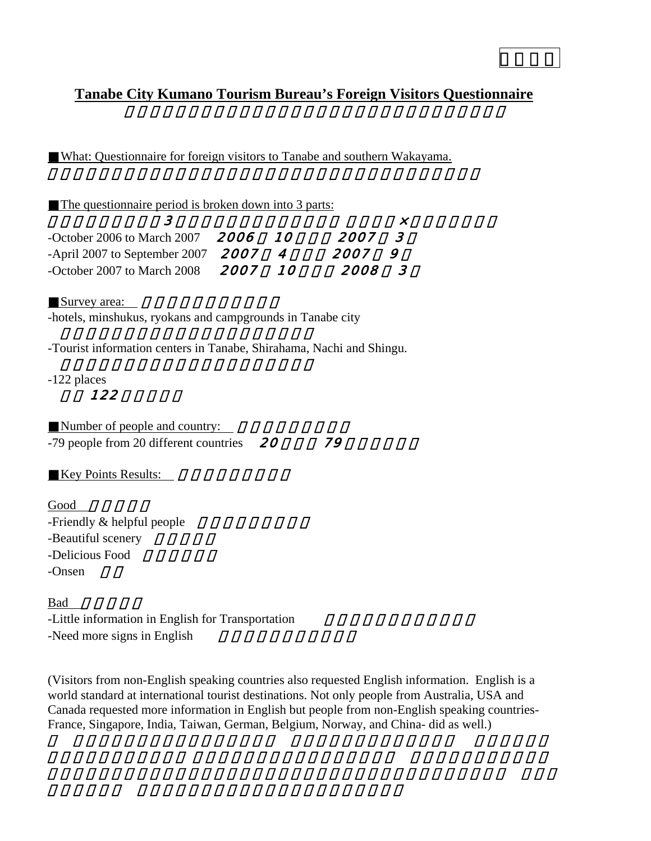# **Tanabe City Kumano Tourism Bureau's Foreign Visitors Questionnaire**

What: Questionnaire for foreign visitors to Tanabe and southern Wakayama.

| The questionnaire period is broken down into 3 parts: |            |             |                |
|-------------------------------------------------------|------------|-------------|----------------|
|                                                       |            |             |                |
| -October 2006 to March 2007 <b>2006 10</b>            |            | 2007-       | $\mathcal{R}$  |
| -April 2007 to September 2007 $2007$                  |            | <i>2007</i> | $\overline{Q}$ |
| -October 2007 to March 2008 2007                      | 1 $\Omega$ | 2008.       | $\overline{3}$ |

Survey area:

-hotels, minshukus, ryokans and campgrounds in Tanabe city

-Tourist information centers in Tanabe, Shirahama, Nachi and Shingu.

-122 places

## 12<sub>2</sub>

| Number of people and country:               |    |  |
|---------------------------------------------|----|--|
| -79 people from 20 different countries $20$ | 79 |  |

Key Points Results:

Good -Friendly  $&$  helpful people -Beautiful scenery -Delicious Food -Onsen

Bad -Little information in English for Transportation -Need more signs in English

(Visitors from non-English speaking countries also requested English information. English is a world standard at international tourist destinations. Not only people from Australia, USA and Canada requested more information in English but people from non-English speaking countries-France, Singapore, India, Taiwan, German, Belgium, Norway, and China- did as well.)